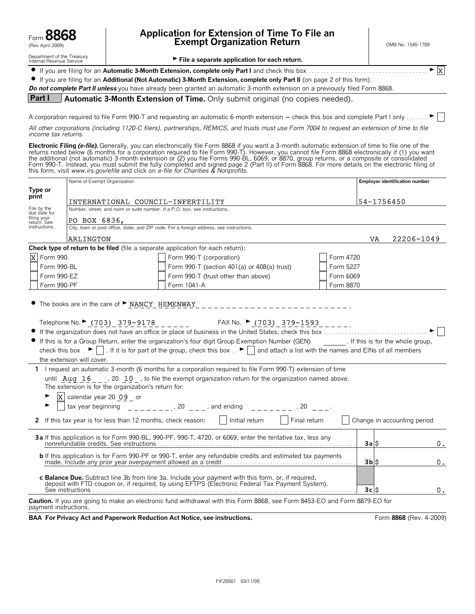| Form 8868        |
|------------------|
| /Day Anril 2000) |

Form **8868 Application for Extension of Time To File an** (Rev April 2009) **Exempt Organization Return** OMB No. 1545-1709

Department of the Treasury<br>Internal Revenue Service

File a separate application for each return.

? If you are filing for an **Automatic 3-Month Extension, complete only Part I** and check this box . . . . . . . . . . . . . . . . . . . . . . . . . . . . . . . . . . . . . . . G  $\vert x \vert$ 

? If you are filing for an **Additional (Not Automatic) 3-Month Extension, complete only Part II** (on page 2 of this form).

**Do not complete Part II unless** you have already been granted an automatic 3-month extension on a previously filed Form 8868.

**Part I Automatic 3-Month Extension of Time.** Only submit original (no copies needed).

A corporation required to file Form 990-T and requesting an automatic 6-month extension  $-$  check this box and complete Part I only . . . . . .  $\blacktriangleright$ 

*All other corporations (including 1120-C filers), partnerships, REMICS, and trusts must use Form 7004 to request an extension of time to file income tax returns.*

**Electronic Filing (e-file).** Generally, you can electronically file Form 8868 if you want a 3-month automatic extension of time to file one of the returns noted below (6 months for a corporation required to file Form 990-T). However, you cannot file Form 8868 electronically if (1) you want the additional (not automatic) 3-month extension or (2) you file Forms 990-BL, 6069, or 8870, group returns, or a composite or consolidated<br>Form 990-T. Instead, you must submit the fully completed and signed page 2 (Part I this form, visit *www.irs.gov/efile* and click on *e-file for Charities & Nonprofits.*

|                                   | Name of Exempt Organization                                                                                                                                                                                                                                                                                                                                                   |                                                                                                                                                                                                                                                                                                                                                                                                                                                                                                                                                                                                             |           | <b>Employer identification number</b> |    |
|-----------------------------------|-------------------------------------------------------------------------------------------------------------------------------------------------------------------------------------------------------------------------------------------------------------------------------------------------------------------------------------------------------------------------------|-------------------------------------------------------------------------------------------------------------------------------------------------------------------------------------------------------------------------------------------------------------------------------------------------------------------------------------------------------------------------------------------------------------------------------------------------------------------------------------------------------------------------------------------------------------------------------------------------------------|-----------|---------------------------------------|----|
| Type or<br>print                  |                                                                                                                                                                                                                                                                                                                                                                               |                                                                                                                                                                                                                                                                                                                                                                                                                                                                                                                                                                                                             |           |                                       |    |
| INTERNATIONAL COUNCIL-INFERTILITY |                                                                                                                                                                                                                                                                                                                                                                               |                                                                                                                                                                                                                                                                                                                                                                                                                                                                                                                                                                                                             |           | 54-1756450                            |    |
| File by the<br>due date for       |                                                                                                                                                                                                                                                                                                                                                                               | Number, street, and room or suite number. If a P.O. box, see instructions.                                                                                                                                                                                                                                                                                                                                                                                                                                                                                                                                  |           |                                       |    |
| filing your<br>return. See        | PO BOX 6836,                                                                                                                                                                                                                                                                                                                                                                  |                                                                                                                                                                                                                                                                                                                                                                                                                                                                                                                                                                                                             |           |                                       |    |
| instructions.                     | $\overline{P}$ bU $\overline{D}$ $\overline{O}$ bU $\overline{O}$ $\overline{O}$ $\overline{O}$ $\overline{O}$ $\overline{O}$ $\overline{O}$ $\overline{O}$ $\overline{O}$ $\overline{O}$ $\overline{O}$ $\overline{O}$ $\overline{O}$ $\overline{O}$ $\overline{O}$ $\overline{O}$ $\overline{O}$ $\overline{O}$ $\overline{O}$ $\overline{O}$ $\overline{O}$ $\overline{O}$ |                                                                                                                                                                                                                                                                                                                                                                                                                                                                                                                                                                                                             |           |                                       |    |
|                                   | ARLINGTON                                                                                                                                                                                                                                                                                                                                                                     |                                                                                                                                                                                                                                                                                                                                                                                                                                                                                                                                                                                                             |           | 22206-1049<br>VA                      |    |
|                                   |                                                                                                                                                                                                                                                                                                                                                                               | Check type of return to be filed (file a separate application for each return):                                                                                                                                                                                                                                                                                                                                                                                                                                                                                                                             |           |                                       |    |
| X Form 990                        |                                                                                                                                                                                                                                                                                                                                                                               | Form 990-T (corporation)                                                                                                                                                                                                                                                                                                                                                                                                                                                                                                                                                                                    | Form 4720 |                                       |    |
| Form 990-BL                       |                                                                                                                                                                                                                                                                                                                                                                               | Form 990-T (section 401(a) or 408(a) trust)                                                                                                                                                                                                                                                                                                                                                                                                                                                                                                                                                                 | Form 5227 |                                       |    |
| Form 990-EZ                       |                                                                                                                                                                                                                                                                                                                                                                               | Form 990-T (trust other than above)                                                                                                                                                                                                                                                                                                                                                                                                                                                                                                                                                                         | Form 6069 |                                       |    |
| Form 990-PF                       |                                                                                                                                                                                                                                                                                                                                                                               | Form 1041-A                                                                                                                                                                                                                                                                                                                                                                                                                                                                                                                                                                                                 | Form 8870 |                                       |    |
|                                   | the extension will cover.<br>The extension is for the organization's return for:                                                                                                                                                                                                                                                                                              | Telephone No. $\blacktriangleright$ (703) 379-9178 ______ FAX No. $\blacktriangleright$ (703) 379-1593 _____.<br>• If this is for a Group Return, enter the organization's four digit Group Exemption Number (GEN) [f this is for the whole group,<br>check this box $\Box$ If it is for part of the group, check this box $\Box$ and attach a list with the names and EINs of all members<br>1 I request an automatic 3-month (6 months for a corporation required to file Form 990-T) extension of time<br>until Aug 16 , 20 10, to file the exempt organization return for the organization named above. |           |                                       |    |
| ►                                 |                                                                                                                                                                                                                                                                                                                                                                               | X calendar year 20 <u>09</u> _ or<br>tax year beginning ________, <sup>20</sup> ___, and ending ______, <sup>20</sup> ____ <sup>, 20</sup> ____                                                                                                                                                                                                                                                                                                                                                                                                                                                             |           |                                       |    |
|                                   |                                                                                                                                                                                                                                                                                                                                                                               | 2 If this tax year is for less than 12 months, check reason: $\vert \vert$ Initial return $\vert \vert$ Final return                                                                                                                                                                                                                                                                                                                                                                                                                                                                                        |           | Change in accounting period           |    |
|                                   |                                                                                                                                                                                                                                                                                                                                                                               | 3a If this application is for Form 990-BL, 990-PF, 990-T, 4720, or 6069, enter the tentative tax, less any                                                                                                                                                                                                                                                                                                                                                                                                                                                                                                  |           | 3a S                                  | 0. |
|                                   |                                                                                                                                                                                                                                                                                                                                                                               | <b>b</b> If this application is for Form 990-PF or 990-T, enter any refundable credits and estimated tax payments                                                                                                                                                                                                                                                                                                                                                                                                                                                                                           |           | $3b$ $S$                              | 0. |
|                                   |                                                                                                                                                                                                                                                                                                                                                                               | c Balance Due. Subtract line 3b from line 3a. Include your payment with this form, or, if required, deposit with FTD coupon or, if required, by using EFTPS (Electronic Federal Tax Payment System).                                                                                                                                                                                                                                                                                                                                                                                                        |           | 3cS                                   | 0. |
| payment instructions.             |                                                                                                                                                                                                                                                                                                                                                                               | Caution. If you are going to make an electronic fund withdrawal with this Form 8868, see Form 8453-EO and Form 8879-EO for                                                                                                                                                                                                                                                                                                                                                                                                                                                                                  |           |                                       |    |
|                                   |                                                                                                                                                                                                                                                                                                                                                                               | BAA For Privacy Act and Paperwork Reduction Act Notice, see instructions.                                                                                                                                                                                                                                                                                                                                                                                                                                                                                                                                   |           | Form 8868 (Rev. 4-2009)               |    |